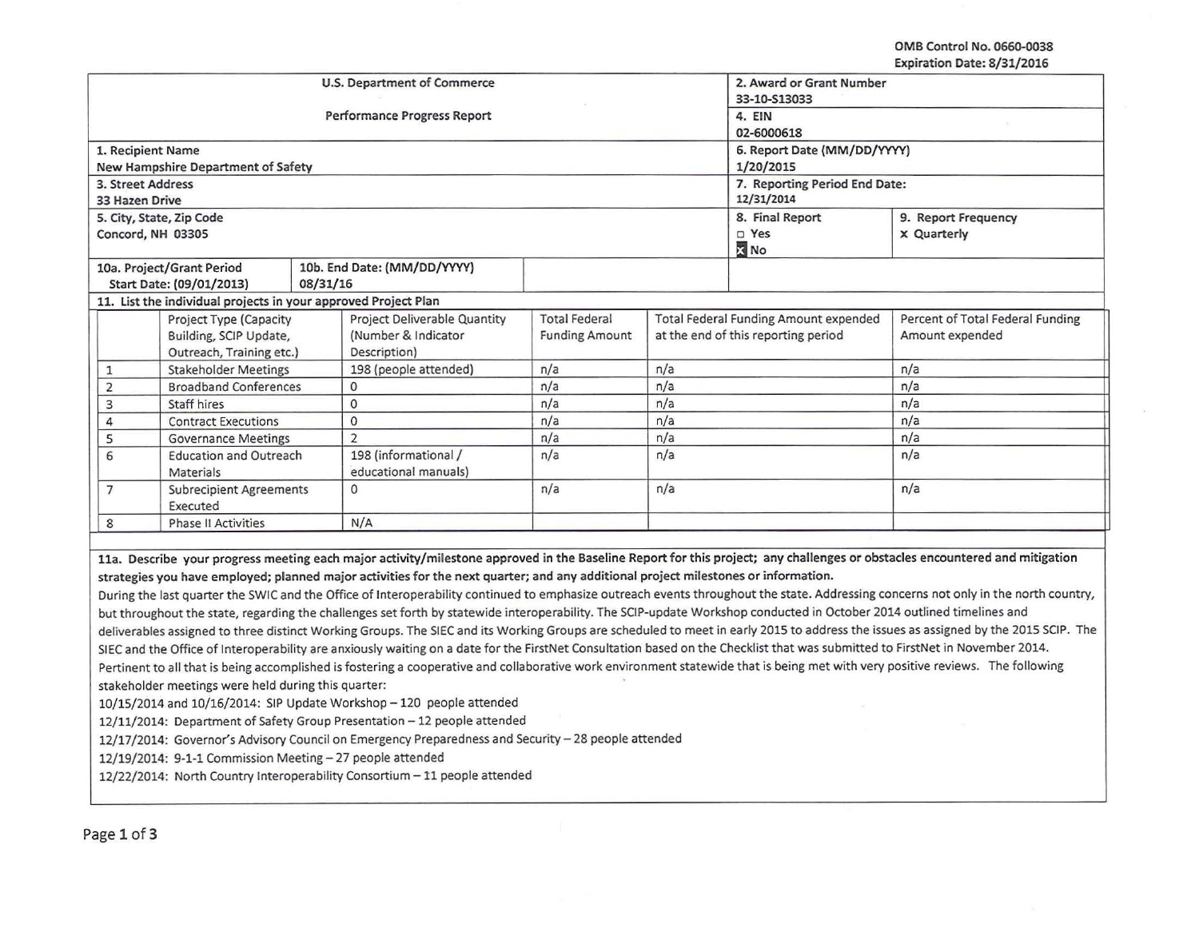## OMB Control No. 0660-0038 Expiration Date: 8/31/2016

 $\tilde{\mathbf{B}}$ 

|                                                                                                                                                                                     |                                                                                                                                                                            | U.S. Department of Commerce                                                                                                                                                         | 2. Award or Grant Number<br>33-10-S13033 |                                              |                      |                                  |  |  |
|-------------------------------------------------------------------------------------------------------------------------------------------------------------------------------------|----------------------------------------------------------------------------------------------------------------------------------------------------------------------------|-------------------------------------------------------------------------------------------------------------------------------------------------------------------------------------|------------------------------------------|----------------------------------------------|----------------------|----------------------------------|--|--|
|                                                                                                                                                                                     |                                                                                                                                                                            | <b>Performance Progress Report</b>                                                                                                                                                  | 4. EIN<br>02-6000618                     |                                              |                      |                                  |  |  |
| 1. Recipient Name                                                                                                                                                                   |                                                                                                                                                                            |                                                                                                                                                                                     | 6. Report Date (MM/DD/YYYY)              |                                              |                      |                                  |  |  |
|                                                                                                                                                                                     | New Hampshire Department of Safety                                                                                                                                         |                                                                                                                                                                                     |                                          |                                              | 1/20/2015            |                                  |  |  |
| 3. Street Address                                                                                                                                                                   |                                                                                                                                                                            |                                                                                                                                                                                     |                                          | 7. Reporting Period End Date:                |                      |                                  |  |  |
| 33 Hazen Drive                                                                                                                                                                      |                                                                                                                                                                            |                                                                                                                                                                                     | 12/31/2014                               |                                              |                      |                                  |  |  |
|                                                                                                                                                                                     | 5. City, State, Zip Code                                                                                                                                                   |                                                                                                                                                                                     |                                          | 8. Final Report                              | 9. Report Frequency  |                                  |  |  |
| Concord, NH 03305                                                                                                                                                                   |                                                                                                                                                                            |                                                                                                                                                                                     |                                          |                                              | D Yes<br><b>X</b> No | <b>x</b> Quarterly               |  |  |
|                                                                                                                                                                                     | 10a. Project/Grant Period                                                                                                                                                  | 10b. End Date: (MM/DD/YYYY)                                                                                                                                                         |                                          |                                              |                      |                                  |  |  |
|                                                                                                                                                                                     | Start Date: (09/01/2013)                                                                                                                                                   | 08/31/16                                                                                                                                                                            |                                          |                                              |                      |                                  |  |  |
|                                                                                                                                                                                     |                                                                                                                                                                            | 11. List the individual projects in your approved Project Plan                                                                                                                      |                                          |                                              |                      |                                  |  |  |
|                                                                                                                                                                                     | Project Type (Capacity                                                                                                                                                     | Project Deliverable Quantity                                                                                                                                                        | <b>Total Federal</b>                     | <b>Total Federal Funding Amount expended</b> |                      | Percent of Total Federal Funding |  |  |
|                                                                                                                                                                                     | Building, SCIP Update,                                                                                                                                                     | (Number & Indicator                                                                                                                                                                 | <b>Funding Amount</b>                    | at the end of this reporting period          |                      | Amount expended                  |  |  |
|                                                                                                                                                                                     | Outreach, Training etc.)                                                                                                                                                   | Description)                                                                                                                                                                        |                                          |                                              |                      |                                  |  |  |
| $\mathbf{1}$                                                                                                                                                                        | <b>Stakeholder Meetings</b>                                                                                                                                                | 198 (people attended)                                                                                                                                                               | n/a                                      | n/a                                          |                      | n/a                              |  |  |
| $\mathbf 2$                                                                                                                                                                         | <b>Broadband Conferences</b>                                                                                                                                               | 0                                                                                                                                                                                   | n/a                                      | n/a                                          |                      | n/a                              |  |  |
| 3                                                                                                                                                                                   | Staff hires                                                                                                                                                                | $\mathbf 0$                                                                                                                                                                         | n/a                                      | n/a                                          |                      | n/a                              |  |  |
| $\sqrt{4}$                                                                                                                                                                          | <b>Contract Executions</b>                                                                                                                                                 | $\circ$                                                                                                                                                                             | n/a                                      | n/a                                          |                      | n/a                              |  |  |
| 5                                                                                                                                                                                   | <b>Governance Meetings</b>                                                                                                                                                 | $\overline{2}$                                                                                                                                                                      | n/a                                      | n/a                                          |                      | n/a                              |  |  |
| 6                                                                                                                                                                                   | <b>Education and Outreach</b><br><b>Materials</b>                                                                                                                          | 198 (informational /<br>educational manuals)                                                                                                                                        | n/a                                      | n/a                                          |                      | n/a                              |  |  |
| $\overline{7}$                                                                                                                                                                      | <b>Subrecipient Agreements</b><br>Executed                                                                                                                                 | $\Omega$                                                                                                                                                                            | n/a                                      | n/a                                          |                      | n/a                              |  |  |
| $\bf 8$                                                                                                                                                                             | <b>Phase II Activities</b>                                                                                                                                                 | N/A                                                                                                                                                                                 |                                          |                                              |                      |                                  |  |  |
|                                                                                                                                                                                     | 11a. Describe your progress meeting each major activity/milestone approved in the Baseline Report for this project; any challenges or obstacles encountered and mitigation |                                                                                                                                                                                     |                                          |                                              |                      |                                  |  |  |
|                                                                                                                                                                                     |                                                                                                                                                                            | strategies you have employed; planned major activities for the next quarter; and any additional project milestones or information.                                                  |                                          |                                              |                      |                                  |  |  |
|                                                                                                                                                                                     |                                                                                                                                                                            | During the last quarter the SWIC and the Office of Interoperability continued to emphasize outreach events throughout the state. Addressing concerns not only in the north country, |                                          |                                              |                      |                                  |  |  |
|                                                                                                                                                                                     |                                                                                                                                                                            | but throughout the state, regarding the challenges set forth by statewide interoperability. The SCIP-update Workshop conducted in October 2014 outlined timelines and               |                                          |                                              |                      |                                  |  |  |
| deliverables assigned to three distinct Working Groups. The SIEC and its Working Groups are scheduled to meet in early 2015 to address the issues as assigned by the 2015 SCIP. The |                                                                                                                                                                            |                                                                                                                                                                                     |                                          |                                              |                      |                                  |  |  |
| SIEC and the Office of Interoperability are anxiously waiting on a date for the FirstNet Consultation based on the Checklist that was submitted to FirstNet in November 2014.       |                                                                                                                                                                            |                                                                                                                                                                                     |                                          |                                              |                      |                                  |  |  |
| Pertinent to all that is being accomplished is fostering a cooperative and collaborative work environment statewide that is being met with very positive reviews. The following     |                                                                                                                                                                            |                                                                                                                                                                                     |                                          |                                              |                      |                                  |  |  |
| stakeholder meetings were held during this quarter:                                                                                                                                 |                                                                                                                                                                            |                                                                                                                                                                                     |                                          |                                              |                      |                                  |  |  |
| 10/15/2014 and 10/16/2014: SIP Update Workshop - 120 people attended                                                                                                                |                                                                                                                                                                            |                                                                                                                                                                                     |                                          |                                              |                      |                                  |  |  |
| 12/11/2014: Department of Safety Group Presentation - 12 people attended                                                                                                            |                                                                                                                                                                            |                                                                                                                                                                                     |                                          |                                              |                      |                                  |  |  |
| 12/17/2014: Governor's Advisory Council on Emergency Preparedness and Security - 28 people attended                                                                                 |                                                                                                                                                                            |                                                                                                                                                                                     |                                          |                                              |                      |                                  |  |  |
| 12/19/2014: 9-1-1 Commission Meeting - 27 people attended                                                                                                                           |                                                                                                                                                                            |                                                                                                                                                                                     |                                          |                                              |                      |                                  |  |  |
| 12/22/2014: North Country Interoperability Consortium - 11 people attended                                                                                                          |                                                                                                                                                                            |                                                                                                                                                                                     |                                          |                                              |                      |                                  |  |  |
|                                                                                                                                                                                     |                                                                                                                                                                            |                                                                                                                                                                                     |                                          |                                              |                      |                                  |  |  |
|                                                                                                                                                                                     |                                                                                                                                                                            |                                                                                                                                                                                     |                                          |                                              |                      |                                  |  |  |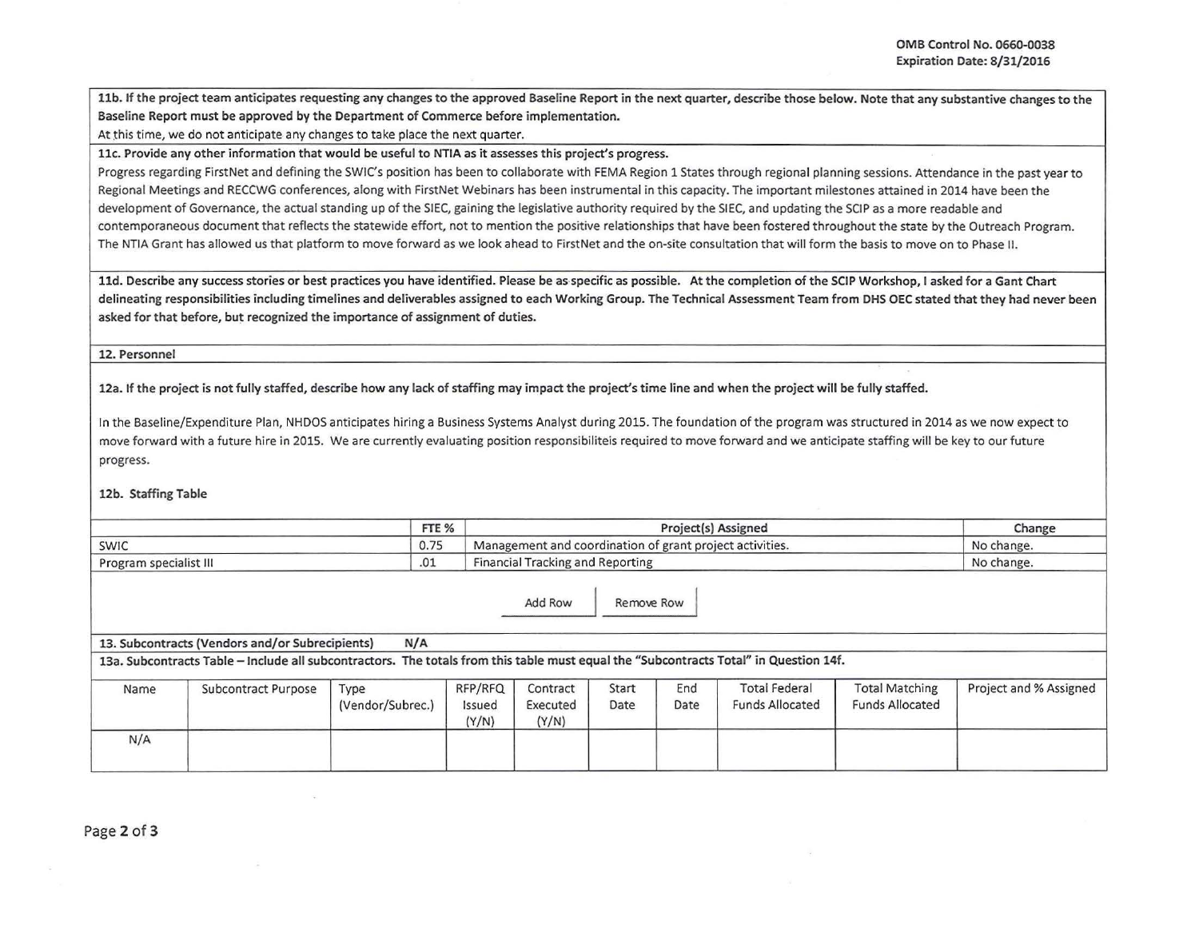11b. If the project team anticipates requesting any changes to the approved Baseline Report in the next quarter, describe those below. Note that any substantive changes to the Baseline Report must be approved by the Department of Commerce before implementation.

At this time, we do not anticipate any changes to take place the next quarter.

llc. Provide any other information that would be useful to NTIA as it assesses this project's progress.

Progress regarding FirstNet and defining the SWIC's position has been to collaborate with FEMA Region 1 States through regional planning sessions. Attendance in the past year to Regional Meetings and RECCWG conferences, along with FirstNet Webinars has been instrumental in this capacity. The important milestones attained in 2014 have been the development of Governance, the actual standing up of the SIEC, gaining the legislative authority required by the SIEC, and updating the SCIP as a more readable and<br>contemporaneous document that reflects the statewide effor The NTIA Grant has allowed us that platform to move forward as we look ahead to FirstNet and the on-site consultation that will form the basis to move on to Phase II.

lld. Describe any success stories or best practices you have identified. Please be as· specific as possible. At the completion of the SCIP Workshop, I asked for a Gant Chart delineating responsibilities including timelines and deliverables assigned to each Working Group. The Technical Assessment Team from DHS OEC stated that they had never been asked for that before, but recognized the importance of assignment of duties.

12. Personnel

12a. If the project is not fully staffed, describe how any lack of staffing may impact the project's time line and when the project will be fully staffed.

In the Baseline/Expenditure Plan, NHDOS anticipates hiring a Business Systems Analyst during 2015. The foundation of the program was structured in 2014 as we now expect to move forward with a future hire in 2015. We are currently evaluating position responsibiliteis required to move forward and we anticipate staffing will be key to our future progress.

12b. Staffing Table

|              |                                                                                                                                                                                          | FTE %                    |                            |                                                          |               | Change      |                                                |                                                 |                        |
|--------------|------------------------------------------------------------------------------------------------------------------------------------------------------------------------------------------|--------------------------|----------------------------|----------------------------------------------------------|---------------|-------------|------------------------------------------------|-------------------------------------------------|------------------------|
| 0.75<br>SWIC |                                                                                                                                                                                          |                          |                            | Management and coordination of grant project activities. |               |             |                                                |                                                 | No change.             |
|              | .01<br>Program specialist III                                                                                                                                                            |                          |                            | <b>Financial Tracking and Reporting</b>                  |               |             |                                                |                                                 | No change.             |
|              | 13. Subcontracts (Vendors and/or Subrecipients)<br>13a. Subcontracts Table – Include all subcontractors. The totals from this table must equal the "Subcontracts Total" in Question 14f. | N/A                      |                            | Add Row                                                  | Remove Row    |             |                                                |                                                 |                        |
| Name         | Subcontract Purpose                                                                                                                                                                      | Type<br>(Vendor/Subrec.) | RFP/RFQ<br>Issued<br>(Y/N) | Contract<br>Executed<br>(Y/N)                            | Start<br>Date | End<br>Date | <b>Total Federal</b><br><b>Funds Allocated</b> | <b>Total Matching</b><br><b>Funds Allocated</b> | Project and % Assigned |
| N/A          |                                                                                                                                                                                          |                          |                            |                                                          |               |             |                                                |                                                 |                        |